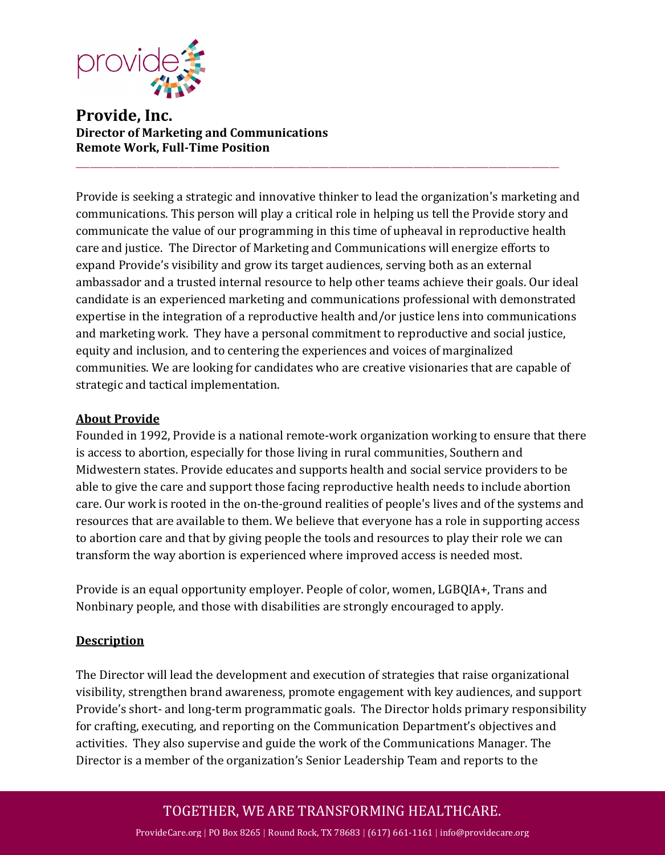

**Provide, Inc. Director of Marketing and Communications Remote Work, Full-Time Position**

Provide is seeking a strategic and innovative thinker to lead the organization's marketing and communications. This person will play a critical role in helping us tell the Provide story and communicate the value of our programming in this time of upheaval in reproductive health care and justice. The Director of Marketing and Communications will energize efforts to expand Provide's visibility and grow its target audiences, serving both as an external ambassador and a trusted internal resource to help other teams achieve their goals. Our ideal candidate is an experienced marketing and communications professional with demonstrated expertise in the integration of a reproductive health and/or justice lens into communications and marketing work. They have a personal commitment to reproductive and social justice, equity and inclusion, and to centering the experiences and voices of marginalized communities. We are looking for candidates who are creative visionaries that are capable of strategic and tactical implementation.

\_\_\_\_\_\_\_\_\_\_\_\_\_\_\_\_\_\_\_\_\_\_\_\_\_\_\_\_\_\_\_\_\_\_\_\_\_\_\_\_\_\_\_\_\_\_\_\_\_\_\_\_\_\_\_\_\_\_\_\_\_\_\_\_\_\_\_\_\_\_\_\_\_\_\_\_\_\_\_\_\_\_\_\_\_\_\_\_\_\_\_\_\_\_\_\_\_\_\_\_\_\_\_

### **About Provide**

Founded in 1992, Provide is a national remote-work organization working to ensure that there is access to abortion, especially for those living in rural communities, Southern and Midwestern states. Provide educates and supports health and social service providers to be able to give the care and support those facing reproductive health needs to include abortion care. Our work is rooted in the on-the-ground realities of people's lives and of the systems and resources that are available to them. We believe that everyone has a role in supporting access to abortion care and that by giving people the tools and resources to play their role we can transform the way abortion is experienced where improved access is needed most.  

Provide is an equal opportunity employer. People of color, women, LGBQIA+, Trans and Nonbinary people, and those with disabilities are strongly encouraged to apply.

### **Description**

The Director will lead the development and execution of strategies that raise organizational visibility, strengthen brand awareness, promote engagement with key audiences, and support Provide's short- and long-term programmatic goals. The Director holds primary responsibility for crafting, executing, and reporting on the Communication Department's objectives and activities. They also supervise and guide the work of the Communications Manager. The Director is a member of the organization's Senior Leadership Team and reports to the

# TOGETHER, WE ARE TRANSFORMING HEALTHCARE.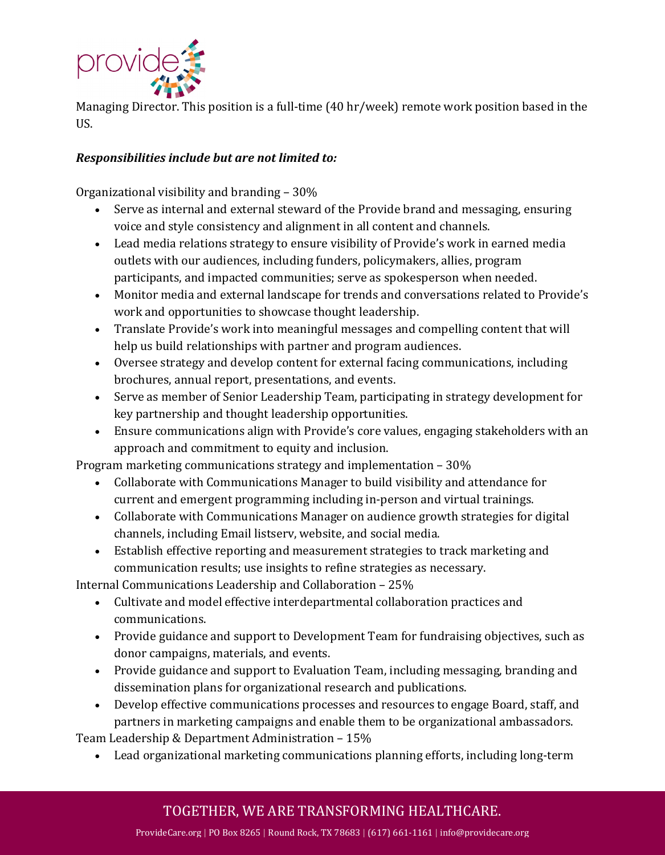

Managing Director. This position is a full-time (40 hr/week) remote work position based in the US.

# *Responsibilities include but are not limited to:*

Organizational visibility and branding – 30%

- Serve as internal and external steward of the Provide brand and messaging, ensuring voice and style consistency and alignment in all content and channels.
- Lead media relations strategy to ensure visibility of Provide's work in earned media outlets with our audiences, including funders, policymakers, allies, program participants, and impacted communities; serve as spokesperson when needed.
- Monitor media and external landscape for trends and conversations related to Provide's work and opportunities to showcase thought leadership.
- Translate Provide's work into meaningful messages and compelling content that will help us build relationships with partner and program audiences.
- Oversee strategy and develop content for external facing communications, including brochures, annual report, presentations, and events.
- Serve as member of Senior Leadership Team, participating in strategy development for key partnership and thought leadership opportunities.
- Ensure communications align with Provide's core values, engaging stakeholders with an approach and commitment to equity and inclusion.

Program marketing communications strategy and implementation – 30%

- Collaborate with Communications Manager to build visibility and attendance for current and emergent programming including in-person and virtual trainings.
- Collaborate with Communications Manager on audience growth strategies for digital channels, including Email listserv, website, and social media.
- Establish effective reporting and measurement strategies to track marketing and communication results; use insights to refine strategies as necessary.

Internal Communications Leadership and Collaboration – 25%

- Cultivate and model effective interdepartmental collaboration practices and communications.
- Provide guidance and support to Development Team for fundraising objectives, such as donor campaigns, materials, and events.
- Provide guidance and support to Evaluation Team, including messaging, branding and dissemination plans for organizational research and publications.
- Develop effective communications processes and resources to engage Board, staff, and partners in marketing campaigns and enable them to be organizational ambassadors.

Team Leadership & Department Administration – 15%

• Lead organizational marketing communications planning efforts, including long-term

# TOGETHER, WE ARE TRANSFORMING HEALTHCARE.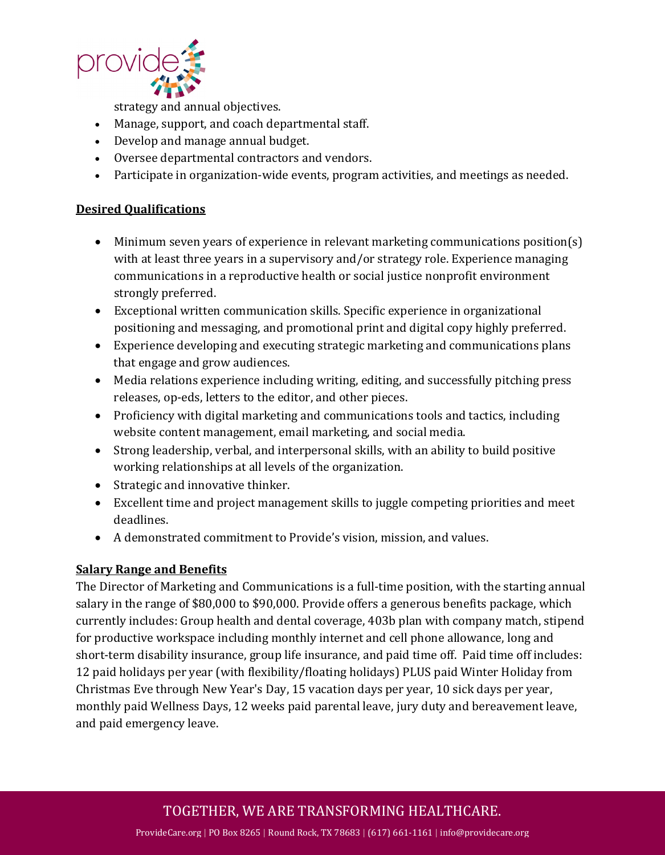

strategy and annual objectives.

- Manage, support, and coach departmental staff.
- Develop and manage annual budget.
- Oversee departmental contractors and vendors.
- Participate in organization-wide events, program activities, and meetings as needed.

### **Desired Qualifications**

- Minimum seven years of experience in relevant marketing communications position(s) with at least three years in a supervisory and/or strategy role. Experience managing communications in a reproductive health or social justice nonprofit environment strongly preferred.
- Exceptional written communication skills. Specific experience in organizational positioning and messaging, and promotional print and digital copy highly preferred.
- Experience developing and executing strategic marketing and communications plans that engage and grow audiences.
- Media relations experience including writing, editing, and successfully pitching press releases, op-eds, letters to the editor, and other pieces.
- Proficiency with digital marketing and communications tools and tactics, including website content management, email marketing, and social media.
- Strong leadership, verbal, and interpersonal skills, with an ability to build positive working relationships at all levels of the organization.
- Strategic and innovative thinker.
- Excellent time and project management skills to juggle competing priorities and meet deadlines.
- A demonstrated commitment to Provide's vision, mission, and values.

### **Salary Range and Benefits**

The Director of Marketing and Communications is a full-time position, with the starting annual salary in the range of \$80,000 to \$90,000. Provide offers a generous benefits package, which currently includes: Group health and dental coverage, 403b plan with company match, stipend for productive workspace including monthly internet and cell phone allowance, long and short-term disability insurance, group life insurance, and paid time off. Paid time off includes: 12 paid holidays per year (with flexibility/floating holidays) PLUS paid Winter Holiday from Christmas Eve through New Year's Day, 15 vacation days per year, 10 sick days per year, monthly paid Wellness Days, 12 weeks paid parental leave, jury duty and bereavement leave, and paid emergency leave.

# TOGETHER, WE ARE TRANSFORMING HEALTHCARE.